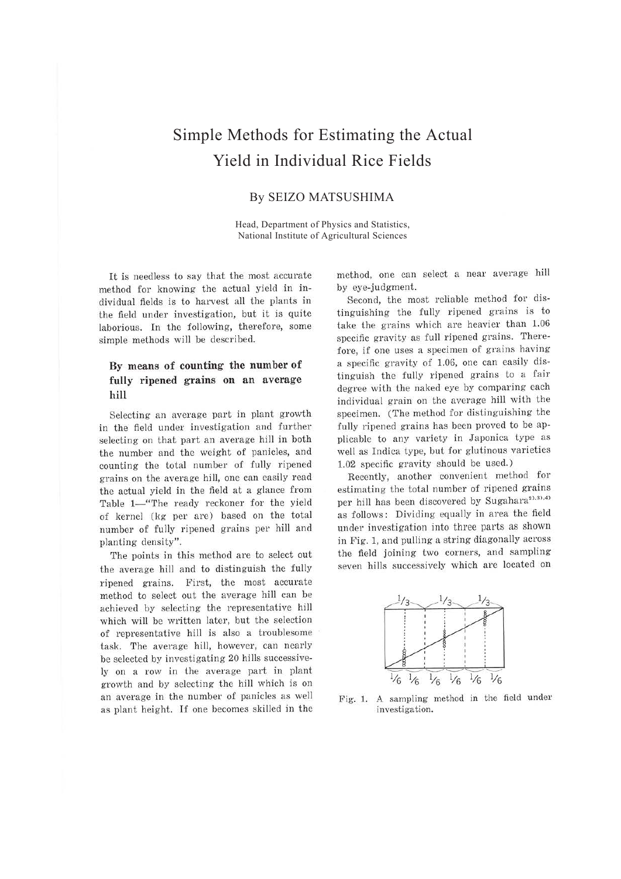# Simple Methods for Estimating the Actual Yield in Individual Rice Fields

### By SEIZO MATSUSHIMA

Head, Department of Physics and Statistics, National Institute of Agricultural Sciences

It is needless to say that the most accurate method for knowing the actual yield in individual fields is to harvest all the plants in the field under investigation, but it is quite laborious. In the following, therefore, some simple methods will be described.

# **By means of counting the number of fully ripened grains on an average hill**

Selecting an average part in plant growth in the field under investigation and further selecting on that part an average hill in both the number and the weight of panicles, and counting the total number of fully ripened grains on the average hill, one can easily read the actual yield in the field at a glance from Table 1-"The ready reckoner for the yield of kernel (kg per are) based on the total number of fully ripened grains per hill and planting density".

The points in this method are to select out the average hill and to distinguish the fully ripened grains. First, the most accurate method to select out the average hill can be achieved by selecting the representative hill which will be written later, but the selection of representative hill is also a troublesome task. The average hill, however, can nearly be selected by investigating 20 hills successively on a row in the average part in plant growth and by selecting the hill which is on an average in the number of panicles as well as plant height. If one becomes skilled in the

method, one can select a near average hill by eye-judgment.

Second, the most reliable method for distinguishing the fully ripened grains is to take the grains which are heavier than 1.06 specific gravity as full ripened grains. Therefore, if one uses a specimen of grains having a specific gravity of 1.06, one can easily distinguish the fully ripened grains to a fair degree with the naked eye by comparing each individual grain on the average hill with the specimen. (The method for distinguishing the fully ripened grains has been proved to be applicable to any variety in Japonica type as well as Indica type, but for glutinous varieties 1.02 specific gravity should be used.)

Recently, another convenient method for estimating the total number of ripened grains per hill has been discovered by Sugahara<sup>2), 3), 4)</sup> as follows: Dividing equally in area the field under investigation into three parts as shown in Fig. 1, and pulling a string diagonally across the field joining two corners, and sampling seven hills successively which are located on



Fig. 1. A sampling method in the field under investigation.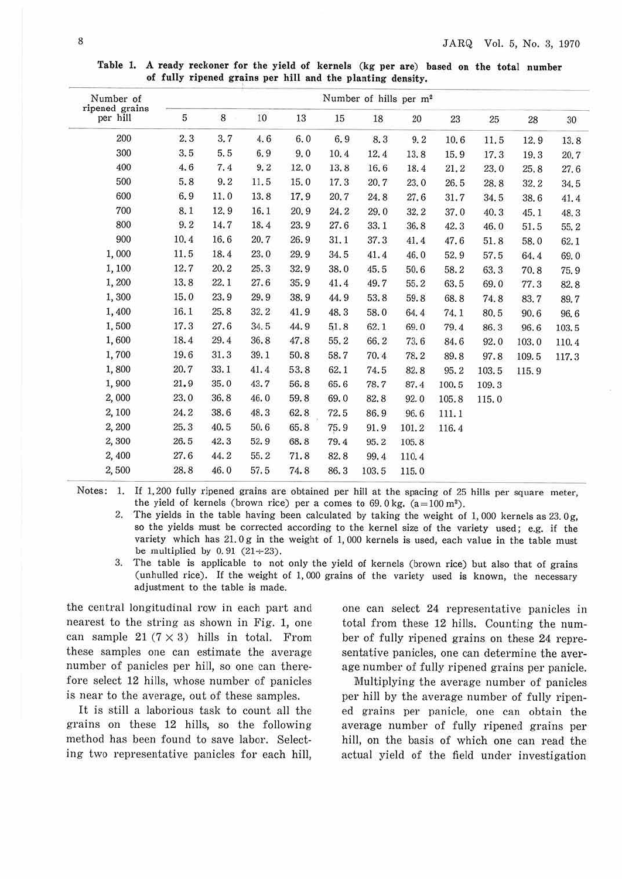| Number of                  | Number of hills per m <sup>2</sup> |      |      |      |      |        |       |       |       |       |       |
|----------------------------|------------------------------------|------|------|------|------|--------|-------|-------|-------|-------|-------|
| ripened grains<br>per hill | 5                                  | 8    | 10   | 13   | 15   | $18\,$ | 20    | 23    | 25    | 28    | 30    |
| 200                        | 2.3                                | 3.7  | 4.6  | 6.0  | 6.9  | 8.3    | 9.2   | 10.6  | 11.5  | 12.9  | 13.8  |
| 300                        | 3.5                                | 5.5  | 6.9  | 9.0  | 10.4 | 12.4   | 13.8  | 15.9  | 17.3  | 19.3  | 20.7  |
| 400                        | 4.6                                | 7.4  | 9, 2 | 12.0 | 13.8 | 16.6   | 18.4  | 21.2  | 23.0  | 25.8  | 27.6  |
| 500                        | 5.8                                | 9.2  | 11.5 | 15.0 | 17.3 | 20.7   | 23.0  | 26.5  | 28.8  | 32.2  | 34.5  |
| 600                        | 6.9                                | 11.0 | 13.8 | 17.9 | 20.7 | 24.8   | 27.6  | 31.7  | 34.5  | 38.6  | 41.4  |
| 700                        | 8.1                                | 12.9 | 16.1 | 20.9 | 24.2 | 29.0   | 32.2  | 37.0  | 40.3  | 45.1  | 48.3  |
| 800                        | 9.2                                | 14.7 | 18.4 | 23.9 | 27.6 | 33.1   | 36.8  | 42.3  | 46.0  | 51.5  | 55.2  |
| 900                        | 10.4                               | 16.6 | 20.7 | 26.9 | 31.1 | 37.3   | 41.4  | 47.6  | 51.8  | 58.0  | 62.1  |
| 1,000                      | 11.5                               | 18.4 | 23.0 | 29.9 | 34.5 | 41.4   | 46.0  | 52.9  | 57.5  | 64.4  | 69.0  |
| 1,100                      | 12.7                               | 20.2 | 25.3 | 32.9 | 38.0 | 45.5   | 50.6  | 58.2  | 63.3  | 70.8  | 75.9  |
| 1,200                      | 13.8                               | 22.1 | 27.6 | 35.9 | 41.4 | 49.7   | 55.2  | 63.5  | 69.0  | 77.3  | 82.8  |
| 1,300                      | 15.0                               | 23.9 | 29.9 | 38.9 | 44.9 | 53.8   | 59.8  | 68.8  | 74.8  | 83.7  | 89.7  |
| 1,400                      | 16.1                               | 25.8 | 32.2 | 41.9 | 48.3 | 58.0   | 64.4  | 74.1  | 80.5  | 90.6  | 96.6  |
| 1,500                      | 17.3                               | 27.6 | 34.5 | 44.9 | 51.8 | 62.1   | 69.0  | 79.4  | 86.3  | 96.6  | 103.5 |
| 1,600                      | 18.4                               | 29.4 | 36.8 | 47.8 | 55.2 | 66.2   | 73.6  | 84.6  | 92.0  | 103.0 | 110.4 |
| 1,700                      | 19.6                               | 31.3 | 39.1 | 50.8 | 58.7 | 70.4   | 78.2  | 89.8  | 97.8  | 109.5 | 117.3 |
| 1,800                      | 20.7                               | 33.1 | 41.4 | 53.8 | 62.1 | 74.5   | 82.8  | 95.2  | 103.5 | 115.9 |       |
| 1,900                      | 21.9                               | 35.0 | 43.7 | 56.8 | 65.6 | 78.7   | 87.4  | 100.5 | 109.3 |       |       |
| 2,000                      | 23.0                               | 36.8 | 46.0 | 59.8 | 69.0 | 82.8   | 92.0  | 105.8 | 115.0 |       |       |
| 2,100                      | 24.2                               | 38.6 | 48.3 | 62.8 | 72.5 | 86.9   | 96.6  | 111.1 |       |       |       |
| 2,200                      | 25.3                               | 40.5 | 50.6 | 65.8 | 75.9 | 91.9   | 101.2 | 116.4 |       |       |       |
| 2,300                      | 26.5                               | 42.3 | 52.9 | 68.8 | 79.4 | 95.2   | 105.8 |       |       |       |       |
| 2,400                      | 27.6                               | 44.2 | 55.2 | 71.8 | 82.8 | 99.4   | 110.4 |       |       |       |       |
| 2,500                      | 28.8                               | 46.0 | 57.5 | 74.8 | 86.3 | 103.5  | 115.0 |       |       |       |       |

**Table** I. **A ready reckoner for the yield of kernels (kg per are) based on the total number of fully ripened grains per hill and the planting density.** 

Notes: 1. If l, 200 fully ripened grains are obtained per hill at the spacing of 25 hills per square meter, the yield of kernels (brown rice) per a comes to  $69.0 \text{ kg}$ . (a=100 m<sup>2</sup>).

2. The yields in the table having been calculated by taking the weight of  $1,000$  kernels as  $23.0g$ , so the yields must be corrected according to the kernel size of the variety used; e.g. if the variety which has  $21.0g$  in the weight of  $1,000$  kernels is used, each value in the table must be multiplied by  $0.91$  (21 $\div$ 23).

3. The table is applicable to not only the yield of kernels (brown rice) but also that of grains (unhulled rice). If the weight of 1,000 grains of the variety used is known, the necessary adjustment to the table is made.

the central longitudinal row in each part and nearest to the string as shown in Fig. 1, one can sample 21 ( $7 \times 3$ ) hills in total. From these samples one can estimate the average number of panicles per hill, so one can therefore select 12 hills, whose number of panicles is near to the average, out of these samples.

It is still a laborious task to count all the grains on these 12 hills, so the following method has been found to save labor. Selecting two representative panicles for each hill,

one can select 24 representative panicles in total from these 12 hills. Counting the number of fully ripened grains on these 24 representative panicles, one can determine the average number of fully ripened grains per panicle.

Multiplying the average number of panicles per hill by the average number of fully ripened grains per panicle, one can obtain the average number of fully ripened grains per hill, on the basis of which one can read the actual yield of the field under investigation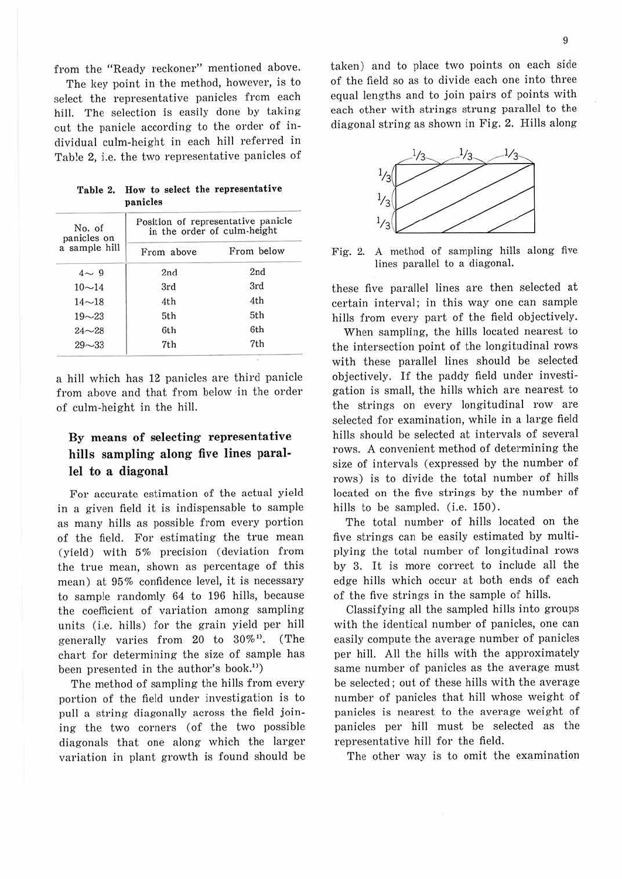from the "Ready reckoner" mentioned above.

The key point in the method, however, is to select the representative panicles from each hill. The selection is easily done by taking out the panicle according to the order of individual culm-height in each hill referred in Table 2, i.e. the two representative panicles of

|  |          |  | Table 2. How to select the representative |
|--|----------|--|-------------------------------------------|
|  | panicles |  |                                           |

| No. of<br>panicles on | Position of representative panicle<br>in the order of culm-height |            |  |  |  |  |
|-----------------------|-------------------------------------------------------------------|------------|--|--|--|--|
| a sample hill         | From above                                                        | From below |  |  |  |  |
| $4 \sim 9$            | 2nd                                                               | 2nd        |  |  |  |  |
| $10 - 14$             | 3rd                                                               | 3rd        |  |  |  |  |
| $14 - 18$             | 4th                                                               | 4th        |  |  |  |  |
| $19 - 23$             | 5th                                                               | 5th        |  |  |  |  |
| $24 - 28$             | 6th                                                               | 6th        |  |  |  |  |
| $29 - 33$             | 7th                                                               | 7th        |  |  |  |  |

a hill which has 12 panicles are third panicle from above and that from below in the order of culm-height in the hill.

# **By means of selecting representative hills sampling along five lines parallel to a diagonal**

For accurate estimation of the actual yield in a given field it is indispensable to sample as many hills as possible from every portion of the field. For estimating the true mean (yield) with 5% precision (deviation from the true mean, shown as percentage of this mean) at 95% confidence level, it is necessary to sample randomly 64 to 196 hills, because the coefficient of variation among sampling units (i.e. hills) for the grain yield per hill generally varies from 20 to 30%1). (The chart for determining the size of sample has been presented in the author's book.<sup>11</sup>)

The method of sampling the hills from every portion of the field under investigation is to pull a string diagonally across the field joining the two corners (of the two possible diagonals that one along which the larger variation in plant growth is found should be

taken) and to place two points on each side of the field so as to divide each one into three equal lengths and to join pairs of points with each other with strings strung parallel to the diagonal string as shown in Fig. 2. Hills along



Fig. 2. A method of sampling hills along five lines parallel to a diagonal.

these five parallel lines are then selected at certain interval; in this way one can sample hills from every part of the field objectively.

When sampling, the hills located nearest to the intersection point of the longitudinal rows with these parallel lines should be selected objectively. If the paddy field under investigation is small, the hills which are nearest to the strings on every longitudinal row are selected for examination, while in a large field hills should be selected at intervals of several rows. A convenient method of determining the size of intervals ( expressed by the number of rows) is to divide the total number of hills located on the five strings by the number of hills to be sampled. (i.e. 150).

The total number of hills located on the five strings can be easily estimated by multiplying the total number of longitudinal rows by 3. It is more correct to include all the edge hills which occur at both ends of each of the five strings in the sample of hills.

Classifying all the sampled hills into groups with the identical number of panicles, one can easily compute the average number of panicles per hill. All the hills with the approximately same number of panicles as the average must be selected; out of these hills with the average number of panicles that hill whose weight of panicles is nearest to the average weight of panicles per hill must be selected as the representative hill for the field.

The other way is to omit the examination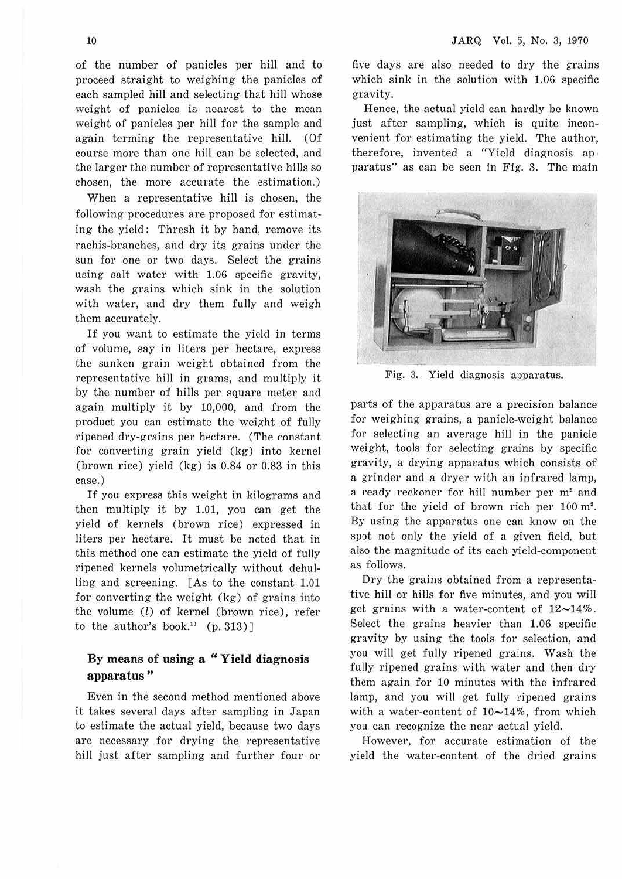of the number of panicles per hill and to proceed straight to weighing the panicles of each sampled hill and selecting that hill whose weight of panicles is nearest to the mean weight of panicles per hill for the sample and again terming the representative hill. (Of course more than one hill can be selected, and the larger the number of representative hills so chosen, the more accurate the estimation.)

When a representative hill is chosen, the following procedures are proposed for estimating the yield: Thresh it by hand, remove its rachis-branches, and dry its grains under the sun for one or two days. Select the grains using salt water with 1.06 specific gravity, wash the grains which sink in the solution with water, and dry them fully and weigh them accurately.

If you want to estimate the yield in terms of volume, say in liters per hectare, express the sunken grain weight obtained from the representative hill in grams, and multiply it by the number of hills per square meter and again multiply it by 10,000, and from the product you can estimate the weight of fully ripened dry-grains per hectare. (The constant for converting grain yield (kg) into kernel (brown rice) yield (kg) is 0.84 or 0.83 in this case.)

If you express this weight in kilograms and then multiply it by 1.01, you can get the yield of kernels (brown rice) expressed in liters per hectare. It must be noted that in this method one can estimate the yield of fully ripened kernels volumetrically without dehulling and screening. [As to the constant 1.01 for converting the weight (kg) of grains into the volume (l) of kernel (brown rice), refer to the author's book.<sup>11</sup>  $(p. 313)$ ]

#### **By means of using a " Yield diagnosis apparatus** "

Even in the second method mentioned above it takes several days after sampling in Japan to estimate the actual yield, because two days are necessary for drying the representative hill just after sampling and further four or five days are also needed to dry the grains which sink in the solution with 1.06 specific gravity.

Hence, the actual yield can hardly be known just after sampling, which is quite inconvenient for estimating the yield. The author, therefore, invented a "Yield diagnosis ap paratus" as can be seen in Fig. 3. The main



Fig. 3. Yield diagnosis apparatus.

parts of the apparatus are a precision balance for weighing grains, a panicle-weight balance for selecting an average hill in the panicle weight, tools for selecting grains by specific gravity, a drying apparatus which consists of a grinder and a dryer with an infrared lamp, a ready reckoner for hill number per m<sup>2</sup> and that for the yield of brown rich per  $100 \text{ m}^2$ . By using the apparatus one can know on the spot not only the yield of a given field, but also the magnitude of its each yield-component as follows.

Dry the grains obtained from a representative hill or hills for five minutes, and you will get grains with a water-content of  $12{\sim}14\%$ . Select the grains heavier than 1.06 specific gravity by using the tools for selection, and you will get fully ripened grains. Wash the fully ripened grains with water and then dry them again for 10 minutes with the infrared lamp, and you will get fully ripened grains with a water-content of  $10\nu 14\%$ , from which you can recognize the near actual yield.

However, for accurate estimation of the yield the water-content of the dried grains